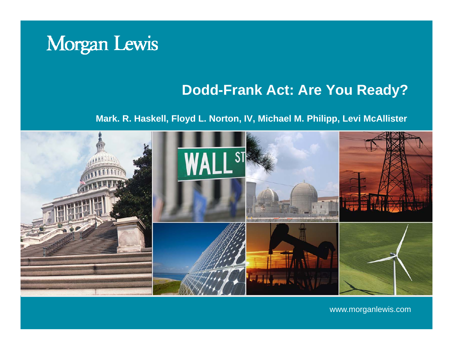

#### **Dodd-Frank Act: Are You Ready?**

#### **Mark. R. Haskell, Floyd L. Norton, IV, Michael M. Philipp, Levi McAllister**



www.morganlewis.com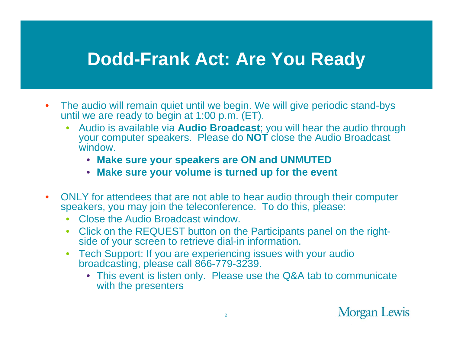### **Dodd-Frank Act: Are You Ready**

- $\bullet$ The audio will remain quiet until we begin. We will give periodic stand-bys until we are ready to begin at 1:00 p.m. (ET).
	- • Audio is available via **Audio Broadcast**; you will hear the audio through your computer speakers. Please do **NOT** close the Audio Broadcast window.
		- **Make sure your speakers are ON and UNMUTED**
		- **Make sure your volume is turned up for the event**
- $\bullet$ ONLY for attendees that are not able to hear audio through their computer speakers, you may join the teleconference. To do this, please:
	- •Close the Audio Broadcast window.
	- Click on the REQUEST button on the Participants panel on the rightside of your screen to retrieve dial-in information.
	- Tech Support: If you are experiencing issues with your audio broadcasting, please call 866-779-3239.
		- This event is listen only. Please use the Q&A tab to communicate with the presenters

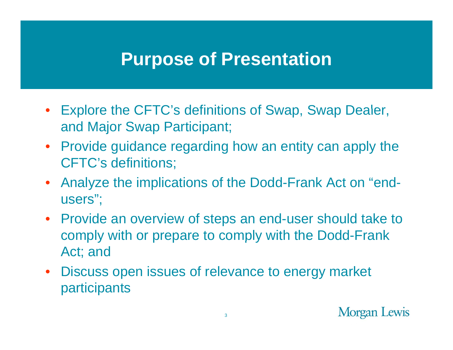#### **Purpose of Presentation**

- Explore the CFTC's definitions of Swap, Swap Dealer, and Major Swap Participant;
- Provide guidance regarding how an entity can apply the CFTC's definitions;
- Analyze the implications of the Dodd-Frank Act on "endusers";
- Provide an overview of steps an end-user should take to comply with or prepare to comply with the Dodd-Frank Act; and
- Discuss open issues of relevance to energy market participants

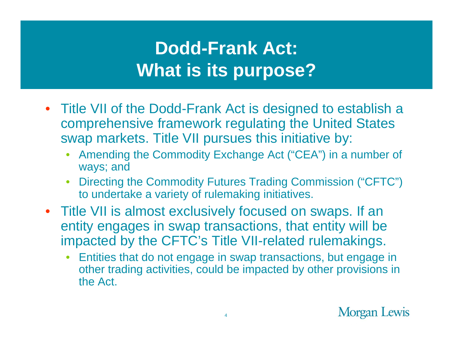# **Dodd-Frank Act: Wh t i it ? What is its purpose?**

- Title VII of the Dodd-Frank Act is designed to establish a comprehensive framework regulating the United States swap markets. Title VII pursues this initiative by:
	- Amending the Commodity Exchange Act ("CEA") in a number of ways; and
	- • Directing the Commodity Futures Trading Commission ("CFTC") to undertake a variety of rulemaking initiatives.
- Title VII is almost exclusively focused on swaps. If an entity engages in swap transactions, that entity will be impacted by the CFTC's Title VII-related rulemakings.
	- • Entities that do not engage in swap transactions, but engage in other trading activities, could be impacted by other provisions in the Act.

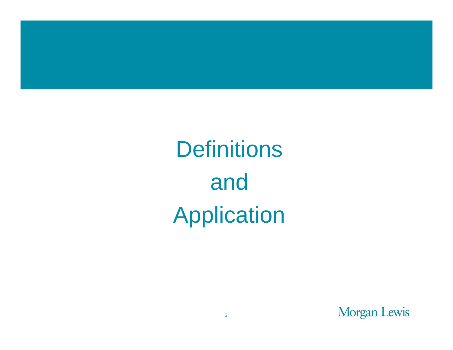

# **Definitions** and Application

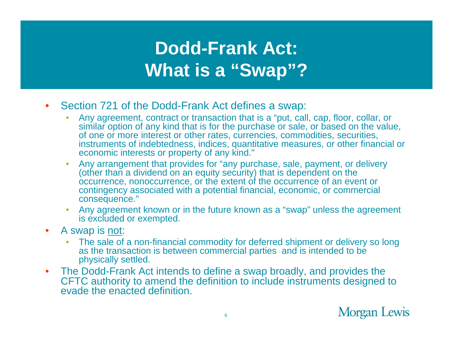# **Dodd-Frank Act: Wh t i "S "? What is a "Swap"?**

- $\bullet$ Section 721 of the Dodd-Frank Act defines a swap:
	- • Any agreement, contract or transaction that is a "put, call, cap, floor, collar, or similar option of any kind that is for the purchase or sale, or based on the value, of one or more interest or other rates, currencies, commodities, securities, instruments of indebtedness, indices, quantitative measures, or other financial or economic interests or property of any kind."
	- • Any arrangement that provides for "any purchase, sale, payment, or delivery (other than a dividend on an equity security) that is dependent on the occurrence, nonoccurrence, or the extent of the occurrence of an event or contingency associated with a potential financial, economic, or commercial consequence."
	- Any agreement known or in the future known as a "swap" unless the agreement is excluded or exempted.
- $\bullet$  A swap is not:
	- $\bullet$ The sale of a non-financial commodity for deferred shipment or delivery so long as the transaction is between commercial parties and is intended to be physically settled.
- $\bullet$  The Dodd-Frank Act intends to define a swap broadly, and provides the CFTC authority to amend the definition to include instruments designed to evade the enacted definition.

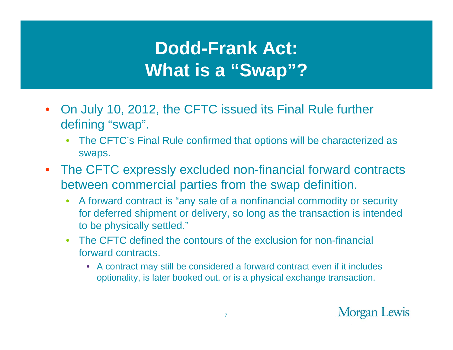# **Dodd-Frank Act: Wh t i "S "? What is a "Swap"?**

- $\bullet$ On July 10, 2012, the CFTC issued its Final Rule further defining "swap".
	- • The CFTC's Final Rule confirmed that options will be characterized as swaps.
- $\bullet$  The CFTC expressly excluded non-financial forward contracts between commercial parties from the swap definition.
	- • A forward contract is "any sale of a nonfinancial commodity or security for deferred shipment or delivery, so long as the transaction is intended to be physically settled."
	- The CFTC defined the contours of the exclusion for non-financial forward contracts.
		- A contract may still be considered a forward contract even if it includes optionality, is later booked out, or is a physical exchange transaction.

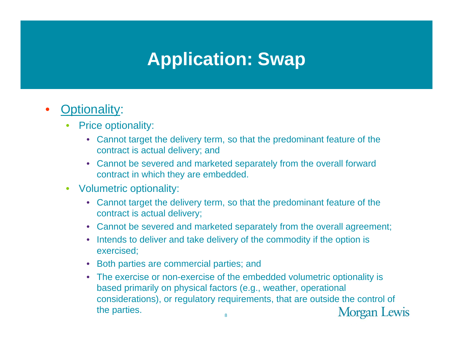# **Application: Swap**

- • Optionality:
	- • Price optionality:
		- Cannot target the delivery term, so that the predominant feature of the contract is actual delivery; and
		- Cannot be severed and marketed separately from the overall forward contract in which they are embedded.
	- Volumetric optionality:
		- Cannot target the delivery term, so that the predominant feature of the contract is actual delivery;
		- Cannot be severed and marketed separately from the overall agreement;
		- Intends to deliver and take delivery of the commodity if the option is exercised;
		- Both parties are commercial parties; and
		- The exercise or non-exercise of the embedded volumetric optionality is based primarily on physical factors (e.g., weather, operational considerations), or regulatory requirements, that are outside the control of the parties. Morgan Lewis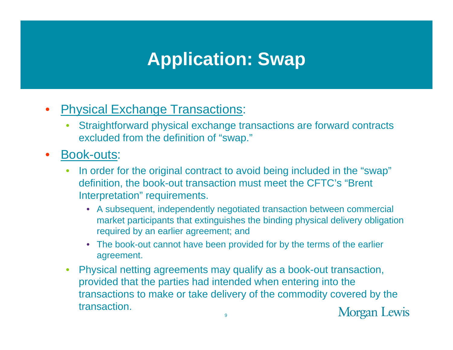# **Application: Swap**

#### •**Physical Exchange Transactions:**

- • Straightforward physical exchange transactions are forward contracts excluded from the definition of "swap."
- $\bullet$ • Book-outs:
	- • In order for the original contract to avoid being included in the "swap" definition, the book-out transaction must meet the CFTC's "Brent Interpretation " requirements.
		- A subsequent, independently negotiated transaction between commercial market participants that extinguishes the binding physical delivery obligation required by an earlier agreement; and
		- The book-out cannot have been provided for by the terms of the earlier agreement.
	- Physical netting agreements may qualify as a book-out transaction, •provided that the parties had intended when entering into the transactions to make or take delivery of the commodity covered by the transaction.Morgan Lewis 9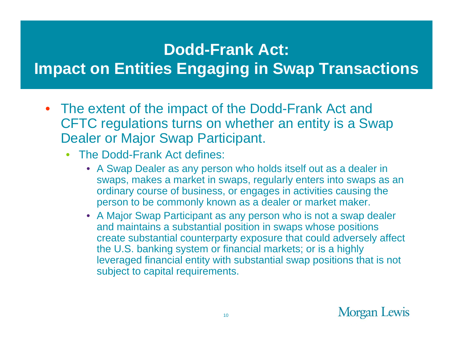#### **Dodd-Frank Act:**

### **limpact on Entities Engaging in Swap Transactions**

- The extent of the impact of the Dodd-Frank Act and CFTC regulations turns on whether an entity is a Swap Dealer or Major Swap Participant.
	- •• The Dodd-Frank Act defines:
		- A Swap Dealer as any person who holds itself out as a dealer in swaps, makes a market in swaps, regularly enters into swaps as an ordinary course of business, or engages in activities causing the person to be commonly known as a dealer or market maker.
		- A Major Swap Participant as any person who is not a swap dealer and maintains a substantial position in swaps whose positions create substantial counterparty exposure that could adversely affect the U.S. banking system or financial markets; or is a highly leveraged financial entity with substantial swap positions that is not subject to capital requirements.

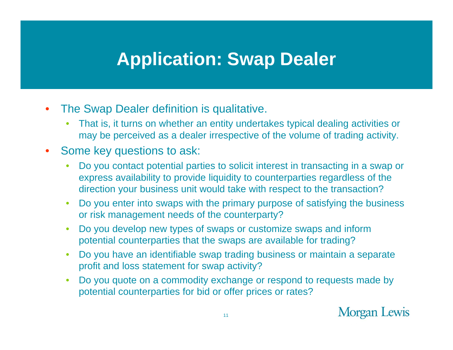### **Application: Swap Dealer**

- •The Swap Dealer definition is qualitative.
	- • That is, it turns on whether an entity undertakes typical dealing activities or may be perceived as a dealer irrespective of the volume of trading activity.

#### $\bullet$ Some key questions to ask:

- • Do you contact potential parties to solicit interest in transacting in a swap or express availability to provide liquidity to counterparties regardless of the direction your business unit would take with respect to the transaction?
- • Do you enter into swaps with the primary purpose of satisfying the business or risk management needs of the counterparty?
- $\bullet$  Do you develop new types of swaps or customize swaps and inform potential counterparties that the swaps are available for trading?
- • Do you have an identifiable swap trading business or maintain a separate profit and loss statement for swap activity?
- •• Do you quote on a commodity exchange or respond to requests made by potential counterparties for bid or offer prices or rates?

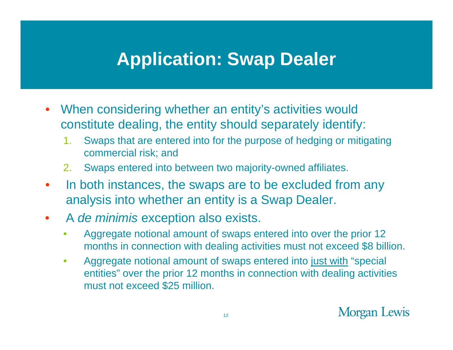### **Application: Swap Dealer**

- $\bullet$ When considering whether an entity's activities would constitute dealing, the entity should separately identify:
	- 1. Swaps that are entered into for the purpose of hedging or mitigating commercial risk; and
	- 2.Swaps entered into between two majority-owned affiliates.
- $\bullet$  In both instances, the swaps are to be excluded from any analysis into whether an entity is a Swap Dealer.
- $\bullet$  A *de minimis* exception also exists.
	- $\bullet$  Aggregate notional amount of swaps entered into over the prior 12 months in connection with dealing activities must not exceed \$8 billion.
	- $\bullet$  Aggregate notional amount of swaps entered into just with "special entities" over the prior 12 months in connection with dealing activities must not exceed \$25 million.

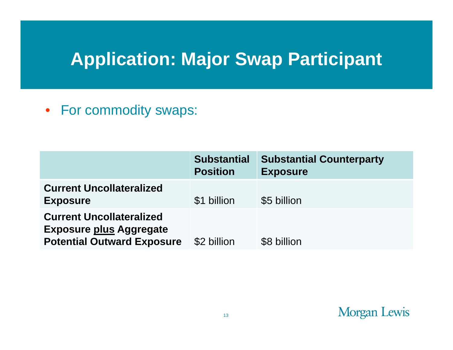# **Application: Major Swap Participant**

• For commodity swaps:

|                                                                                                        | <b>Substantial</b><br><b>Position</b> | <b>Substantial Counterparty</b><br><b>Exposure</b> |
|--------------------------------------------------------------------------------------------------------|---------------------------------------|----------------------------------------------------|
| <b>Current Uncollateralized</b><br><b>Exposure</b>                                                     | \$1 billion                           | \$5 billion                                        |
| <b>Current Uncollateralized</b><br><b>Exposure plus Aggregate</b><br><b>Potential Outward Exposure</b> | \$2 billion                           | \$8 billion                                        |

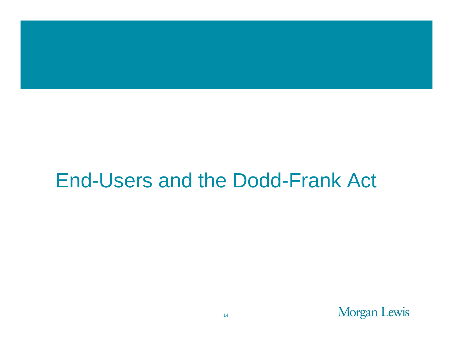# End-Users and the Dodd-Frank Act

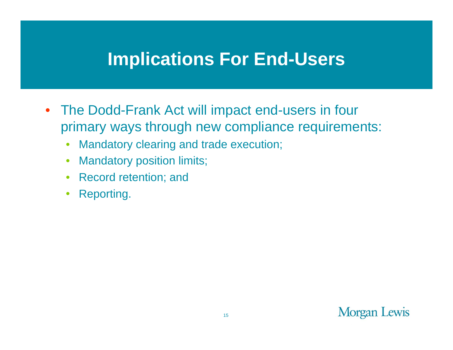- The Dodd-Frank Act will impact end-users in four primary ways through new compliance requirements:
	- $\bullet$ Mandatory clearing and trade execution;
	- •Mandatory position limits;
	- Record retention; and
	- •Reporting.

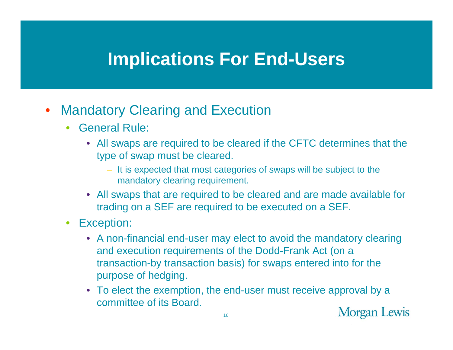#### $\bullet$ Mandatory Clearing and Execution

- • General Rule:
	- All swaps are required to be cleared if the CFTC determines that the type of swap must be cleared.
		- It is expected that most categories of swaps will be subject to the mandatory clearing requirement.
	- All swaps that are required to be cleared and are made available for trading on a SEF are required to be executed on a SEF.
- • Exception:
	- $\bullet~$  A non-financial end-user may elect to avoid the mandatory clearing and execution requirements of the Dodd-Frank Act (on a transaction-by transaction basis) for swaps entered into for the purpose of hedging.
	- To elect the exemption, the end-user must receive approval by a committee of its Board.

**Morgan Lewis**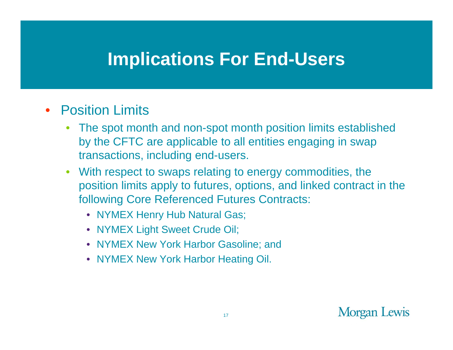#### $\bullet$ Position Limits

- • The spot month and non-spot month position limits established by the CFTC are applicable to all entities engaging in swap transactions, including end-users.
- • With respect to swaps relating to energy commodities, the position limits apply to futures, options, and linked contract in the following Core Referenced Futures Contracts:
	- NYMEX Henry Hub Natural Gas;
	- NYMEX Light Sweet Crude Oil;
	- NYMEX New York Harbor Gasoline; and ,我们也不能会有什么。""我们的人,我们也不能会有什么?""我们的人,我们也不能会有什么?""我们的人,我们也不能会有什么?""我们的人,我们也不能会有什么?"
	- NYMEX New York Harbor Heating Oil.

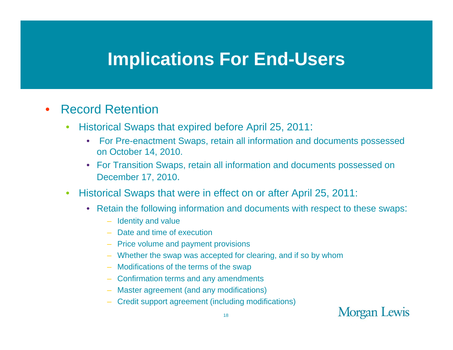#### •Record Retention

- • Historical Swaps that expired before April 25, 2011:
	- $\bullet$  For Pre-enactment Swaps, retain all information and documents possessed on October 14, 2010.
	- For Transition Swaps, retain all information and documents possessed on December 17, 2010.
- •• Historical Swaps that were in effect on or after April 25, 2011:
	- Retain the following information and documents with respect to these swaps:
		- Identity and value
		- Date and time of execution
		- Price volume and payment provisions
		- Whether the swap was accepted for clearing, and if so by whom
		- Modifications of the terms of the swap
		- Confirmation terms and any amendments
		- Master agreement (and any modifications)
		- Credit support agreement (including modifications)

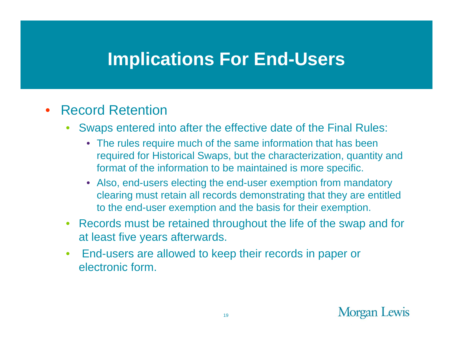#### $\bullet$ Record Retention

- • Swaps entered into after the effective date of the Final Rules:
	- The rules require much of the same information that has been required for Historical Swaps, but the characterization, quantity and format of the information to be maintained is more specific.
	- Also, end-users electing the end-user exemption from mandatory clearing must retain all records demonstrating that they are entitled to the end-user exemption and the basis for their exemption.
- Records must be retained throughout the life of the swap and for at least five years afterwards.
- • End-users are allowed to keep their records in paper or electronic form.

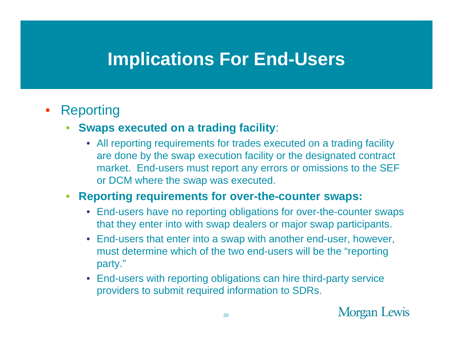#### • Reporting

- **Swaps executed on a trading facility**:
	- All reporting requirements for trades executed on a trading facility are done by the swap execution facility or the designated contract market. End-users must report any errors or omissions to the SEF or DCM where the swap was executed.

#### •**Reporting requirements for over -the -counter swaps: counter**

- End-users have no reporting obligations for over-the-counter swaps that they enter into with swap dealers or major swap participants.
- End-users that enter into a swap with another end-user, however, must determine which of the two end-users will be the "reporting party."
- End-users with reporting obligations can hire third-party service providers to submit required information to SDRs.

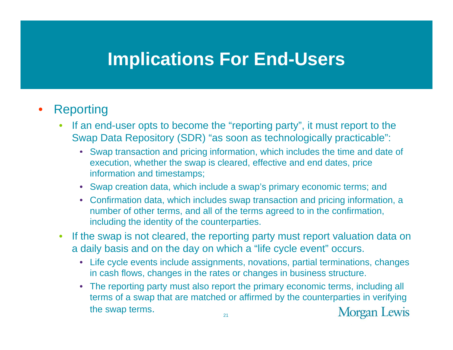#### •Reporting

- $\bullet$  If an end-user opts to become the "reporting party", it must report to the Swap Data Repository (SDR) "as soon as technologically practicable":
	- Swap transaction and pricing information, which includes the time and date of execution, whether the swap is cleared, effective and end dates, price information and timestamps;
	- Swap creation data, which include a swap's primary economic terms; and
	- Confirmation data, which includes swap transaction and pricing information, a number of other terms, and all of the terms agreed to in the confirmation, including the identity of the counterparties.
- $\bullet$ • If the swap is not cleared, the reporting party must report valuation data on a daily basis and on the day on which a "life cycle event" occurs.
	- Life cycle events include assignments, novations, partial terminations, changes in cash flows, changes in the rates or changes in business structure.
	- The reporting party must also report the primary economic terms, including all terms of a swap that are matched or affirmed by the counterparties in verifying the swap terms.  $21$ **Morgan Lewis**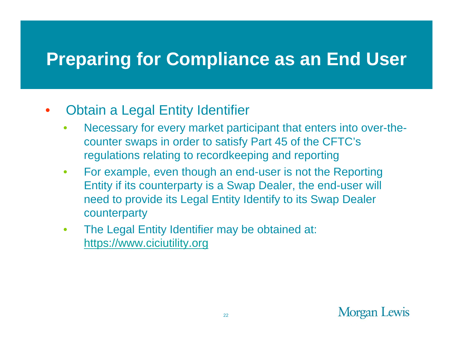# **Preparing for Compliance as an End User**

#### $\bullet$ • Obtain a Legal Entity Identifier

- • Necessary for every market participant that enters into over-thecounter swaps in order to satisfy Part 45 of the CFTC's regulations relating to recordkeeping and reporting
- $\bullet$  For example, even though an end-user is not the Reporting Entity if its counterparty is a Swap Dealer, the end-user will need to provide its Legal Entity Identify to its Swap Dealer counterparty
- $\bullet$  The Legal Entity Identifier may be obtained at: https://www.ciciutility.org

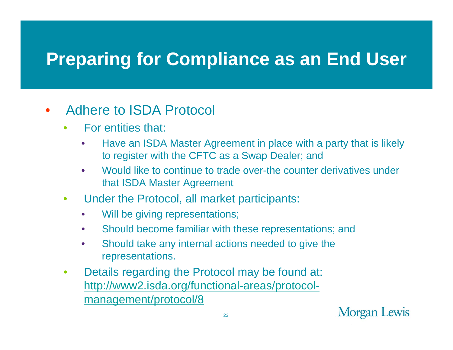# **Preparing for Compliance as an End User**

#### •Adhere to ISDA Protocol

- • For entities that:
	- $\bullet$  Have an ISDA Master Agreement in place with a party that is likely to register with the CFTC as a Swap Dealer; and
	- • Would like to continue to trade over-the counter derivatives under that ISDA Master Agreement
- $\bullet$ Under the Protocol, all market participants:
	- $\bullet$ Will be giving representations;
	- $\bullet$ Should become familiar with these representations; and
	- $\bullet$ • Should take any internal actions needed to give the representations.
- • Details regarding the Protocol may be found at: <u>http://www2.isda.org/functional-areas/protocol</u> management/protocol/8

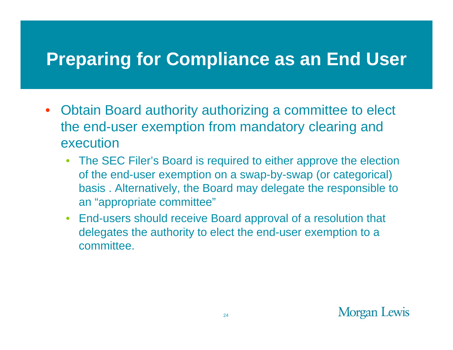### **Preparing for Compliance as an End User**

- Obtain Board authority authorizing <sup>a</sup> committee to elect the end-user exemption from mandatory clearing and execution
	- The SEC Filer's Board is required to either approve the election of the end-user exemption on a swap-by-swap (or categorical) basis . Alternatively, the Board may delegate the responsible to an "appropriate committee"
	- End-users should receive Board approval of a resolution that delegates the authority to elect the end-user exemption to a committee.

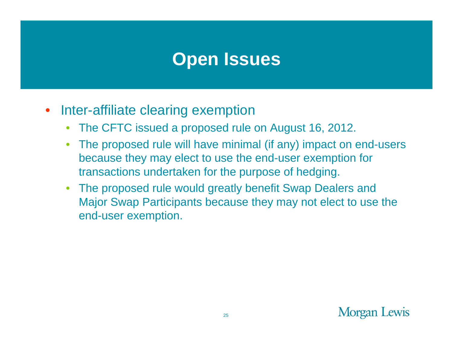- $\bullet$ Inter-affiliate clearing exemption
	- •The CFTC issued a proposed rule on August 16, 2012.
	- • The proposed rule will have minimal (if any) impact on end-users because they may elect to use the end-user exemption for transactions undertaken for the purpose of hedging.
	- The proposed rule would greatly benefit Swap Dealers and Major Swap Participants because they may not elect to use the end-user exemption.

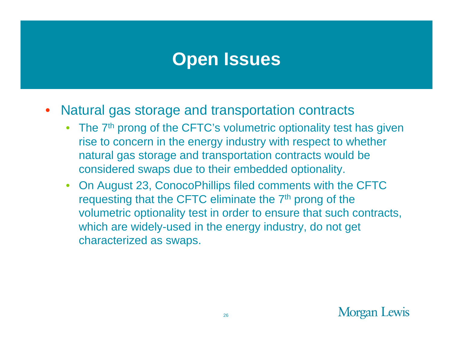- $\bullet$  Natural gas storage and transportation contracts
	- The 7<sup>th</sup> prong of the CFTC's volumetric optionality test has given rise to concern in the energy industry with respect to whether natural gas storage and transportation contracts would be considered swaps due to their embedded optionality.
	- On August 23, ConocoPhillips filed comments with the CFTC requesting that the CFTC eliminate the 7<sup>th</sup> prong of the volumetric optionality test in order to ensure that such contracts, which are widely-used in the energy industry, do not get characterized as swaps.

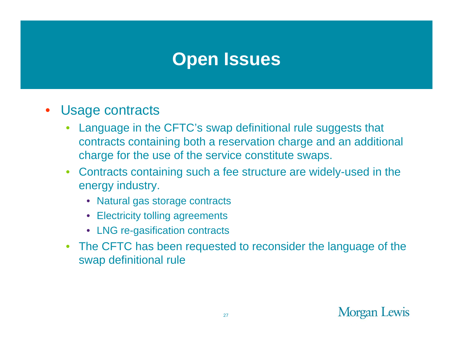- $\bullet$  Usage contracts
	- • Language in the CFTC's swap definitional rule suggests that contracts containing both a reservation charge and an additional charge for the use of the service constitute swaps.
	- Contracts containing such a fee structure are widely-used in the energy industry.
		- Natural gas storage contracts
		- Electricity tolling agreements
		- LNG re-gasification contracts
	- The CFTC has been requested to reconsider the language of the swap definitional rule

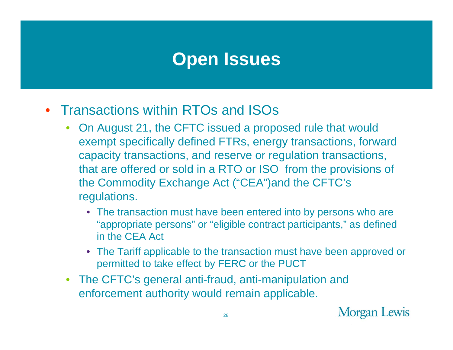- Transactions within RTOs and ISOs
	- On August 21, the CFTC issued a proposed rule that would exempt specifically defined FTRs, energy transactions, forward capacity transactions, and reserve or regulation transactions, that are offered or sold in a RTO or ISO from the provisions of the Commodity Exchange Act ("CEA")and the CFTC's regulations.
		- The transaction must have been entered into by persons who are "appropriate persons" or "eligible contract participants," as defined in the CEA Act
		- The Tariff applicable to the transaction must have been approved or permitted to take effect by FERC or the PUCT
	- The CFTC's general anti-fraud, anti-manipulation and enforcement authority would remain applicable.

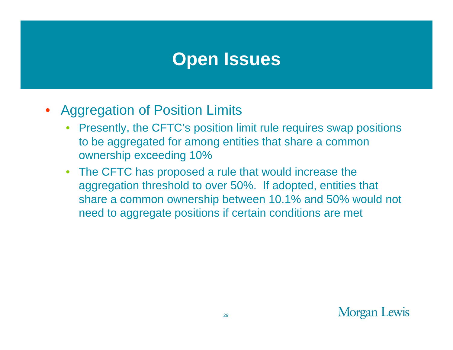- Aggregation of Position Limits
	- Presently, the CFTC's position limit rule requires swap positions to be aggregated for among entities that share a common ownership exceeding 10%
	- The CFTC has proposed a rule that would increase the aggregation threshold to over 50%. If adopted, entities that share a common ownership between 10.1% and 50% would not need to aggregate positions if certain conditions are met

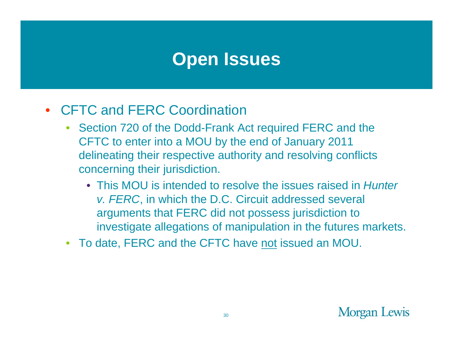- CFTC and FERC Coordination
	- Section 720 of the Dodd-Frank Act required FERC and the CFTC to enter into a MOU by the end of January 2011 delineating their respective authority and resolving conflicts concerning their jurisdiction.
		- This MOU is intended to resolve the issues raised in *Hunter v. FERC*, in which the D.C. Circuit addressed several arguments that FERC did not possess jurisdiction to investigate allegations of manipulation in the futures markets.
	- To date, FERC and the CFTC have not issued an MOU.